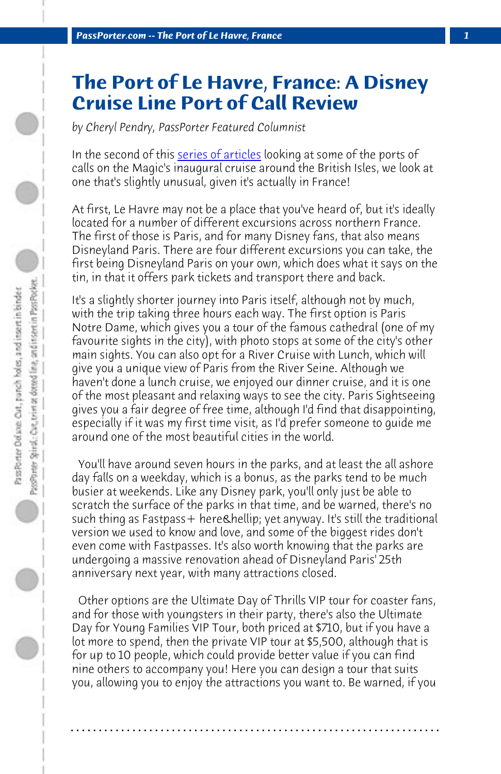**PassPorter.com -- The Port of Le Havre, France** 

## **The Port of Le Havre, France: A Disney Cruise Line Port of Call Review**

*by Cheryl Pendry, PassPorter Featured Columnist*

In the second of this series of articles looking at some of the ports of calls on the Magic's inaugural cruise around the British Isles, we look at one that's slightly unusual, given it's actually in France!

At first, Le Havre may not be a place that you've heard of, but it's ideally located for a number of different excursions across northern France. The first of those is Paris, and for many Disney fans, that also means Disneyland Paris. There are four different excursions you can take, the first being Disneyland Paris on your own, which does what it says on the tin, in that it offers park tickets and transport there and back.

It's a slightly shorter journey into Paris itself, although not by much, with the trip taking three hours each way. The first option is Paris Notre Dame, which gives you a tour of the famous cathedral (one of my favourite sights in the city), with photo stops at some of the city's other main sights. You can also opt for a River Cruise with Lunch, which will give you a unique view of Paris from the River Seine. Although we haven't done a lunch cruise, we enjoyed our dinner cruise, and it is one of the most pleasant and relaxing ways to see the city. Paris Sightseeing gives you a fair degree of free time, although I'd find that disappointing, especially if it was my first time visit, as I'd prefer someone to guide me around one of the most beautiful cities in the world.

 You'll have around seven hours in the parks, and at least the all ashore day falls on a weekday, which is a bonus, as the parks tend to be much busier at weekends. Like any Disney park, you'll only just be able to scratch the surface of the parks in that time, and be warned, there's no such thing as Fastpass + here & hellip; yet anyway. It's still the traditional version we used to know and love, and some of the biggest rides don't even come with Fastpasses. It's also worth knowing that the parks are undergoing a massive renovation ahead of Disneyland Paris' 25th anniversary next year, with many attractions closed.

 Other options are the Ultimate Day of Thrills VIP tour for coaster fans, and for those with youngsters in their party, there's also the Ultimate Day for Young Families VIP Tour, both priced at \$710, but if you have a lot more to spend, then the private VIP tour at \$5,500, although that is for up to 10 people, which could provide better value if you can find nine others to accompany you! Here you can design a tour that suits you, allowing you to enjoy the attractions you want to. Be warned, if you

**. . . . . . . . . . . . . . . . . . . . . . . . . . . . . . . . . . . . . . . . . . . . . . . . . . . . . . . . . . . . . . . . . .**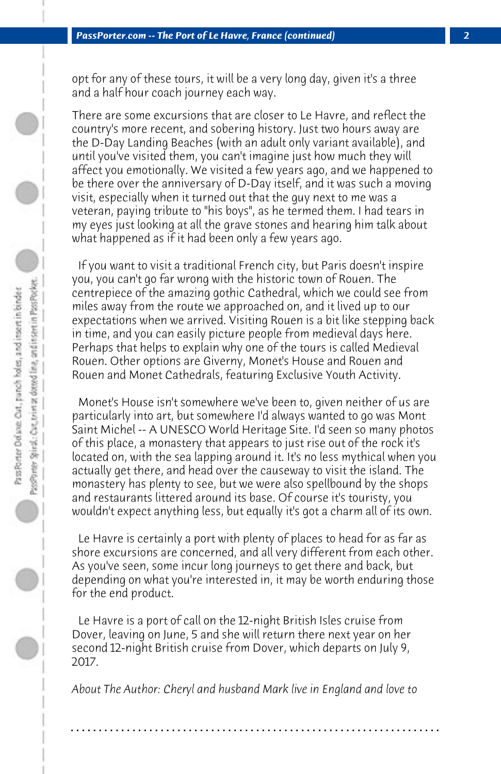opt for any of these tours, it will be a very long day, given it's a three and a half hour coach journey each way.

There are some excursions that are closer to Le Havre, and reflect the country's more recent, and sobering history. Just two hours away are the D-Day Landing Beaches (with an adult only variant available), and until you've visited them, you can't imagine just how much they will affect you emotionally. We visited a few years ago, and we happened to be there over the anniversary of D-Day itself, and it was such a moving visit, especially when it turned out that the guy next to me was a veteran, paying tribute to "his boys", as he termed them. I had tears in my eyes just looking at all the grave stones and hearing him talk about what happened as if it had been only a few years ago.

 If you want to visit a traditional French city, but Paris doesn't inspire you, you can't go far wrong with the historic town of Rouen. The centrepiece of the amazing gothic Cathedral, which we could see from miles away from the route we approached on, and it lived up to our expectations when we arrived. Visiting Rouen is a bit like stepping back in time, and you can easily picture people from medieval days here. Perhaps that helps to explain why one of the tours is called Medieval Rouen. Other options are Giverny, Monet's House and Rouen and Rouen and Monet Cathedrals, featuring Exclusive Youth Activity.

 Monet's House isn't somewhere we've been to, given neither of us are particularly into art, but somewhere I'd always wanted to go was Mont Saint Michel -- A UNESCO World Heritage Site. I'd seen so many photos of this place, a monastery that appears to just rise out of the rock it's located on, with the sea lapping around it. It's no less mythical when you actually get there, and head over the causeway to visit the island. The monastery has plenty to see, but we were also spellbound by the shops and restaurants littered around its base. Of course it's touristy, you wouldn't expect anything less, but equally it's got a charm all of its own.

 Le Havre is certainly a port with plenty of places to head for as far as shore excursions are concerned, and all very different from each other. As you've seen, some incur long journeys to get there and back, but depending on what you're interested in, it may be worth enduring those for the end product.

 Le Havre is a port of call on the 12-night British Isles cruise from Dover, leaving on June, 5 and she will return there next year on her second 12-night British cruise from Dover, which departs on July 9, 2017.

*About The Author: Cheryl and husband Mark live in England and love to*

**. . . . . . . . . . . . . . . . . . . . . . . . . . . . . . . . . . . . . . . . . . . . . . . . . . . . . . . . . . . . . . . . . .**